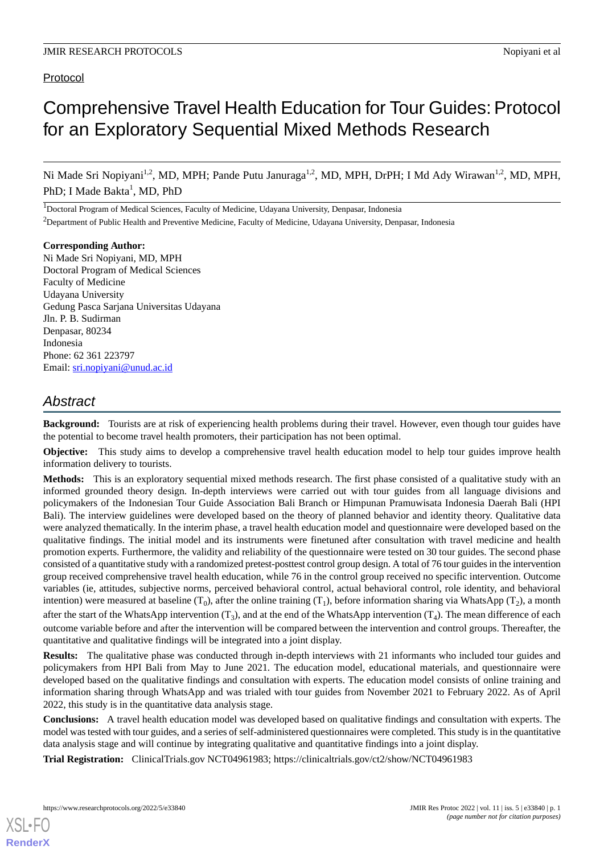# Protocol

# Comprehensive Travel Health Education for Tour Guides: Protocol for an Exploratory Sequential Mixed Methods Research

Ni Made Sri Nopiyani<sup>1,2</sup>, MD, MPH; Pande Putu Januraga<sup>1,2</sup>, MD, MPH, DrPH; I Md Ady Wirawan<sup>1,2</sup>, MD, MPH, PhD; I Made Bakta<sup>1</sup>, MD, PhD

<sup>1</sup>Doctoral Program of Medical Sciences, Faculty of Medicine, Udayana University, Denpasar, Indonesia <sup>2</sup>Department of Public Health and Preventive Medicine, Faculty of Medicine, Udayana University, Denpasar, Indonesia

**Corresponding Author:** Ni Made Sri Nopiyani, MD, MPH Doctoral Program of Medical Sciences Faculty of Medicine Udayana University Gedung Pasca Sarjana Universitas Udayana Jln. P. B. Sudirman Denpasar, 80234 Indonesia Phone: 62 361 223797 Email: [sri.nopiyani@unud.ac.id](mailto:sri.nopiyani@unud.ac.id)

# *Abstract*

**Background:** Tourists are at risk of experiencing health problems during their travel. However, even though tour guides have the potential to become travel health promoters, their participation has not been optimal.

**Objective:** This study aims to develop a comprehensive travel health education model to help tour guides improve health information delivery to tourists.

**Methods:** This is an exploratory sequential mixed methods research. The first phase consisted of a qualitative study with an informed grounded theory design. In-depth interviews were carried out with tour guides from all language divisions and policymakers of the Indonesian Tour Guide Association Bali Branch or Himpunan Pramuwisata Indonesia Daerah Bali (HPI Bali). The interview guidelines were developed based on the theory of planned behavior and identity theory. Qualitative data were analyzed thematically. In the interim phase, a travel health education model and questionnaire were developed based on the qualitative findings. The initial model and its instruments were finetuned after consultation with travel medicine and health promotion experts. Furthermore, the validity and reliability of the questionnaire were tested on 30 tour guides. The second phase consisted of a quantitative study with a randomized pretest-posttest control group design. A total of 76 tour guides in the intervention group received comprehensive travel health education, while 76 in the control group received no specific intervention. Outcome variables (ie, attitudes, subjective norms, perceived behavioral control, actual behavioral control, role identity, and behavioral intention) were measured at baseline  $(T_0)$ , after the online training  $(T_1)$ , before information sharing via WhatsApp  $(T_2)$ , a month after the start of the WhatsApp intervention  $(T_3)$ , and at the end of the WhatsApp intervention  $(T_4)$ . The mean difference of each outcome variable before and after the intervention will be compared between the intervention and control groups. Thereafter, the quantitative and qualitative findings will be integrated into a joint display.

**Results:** The qualitative phase was conducted through in-depth interviews with 21 informants who included tour guides and policymakers from HPI Bali from May to June 2021. The education model, educational materials, and questionnaire were developed based on the qualitative findings and consultation with experts. The education model consists of online training and information sharing through WhatsApp and was trialed with tour guides from November 2021 to February 2022. As of April 2022, this study is in the quantitative data analysis stage.

**Conclusions:** A travel health education model was developed based on qualitative findings and consultation with experts. The model was tested with tour guides, and a series of self-administered questionnaires were completed. This study is in the quantitative data analysis stage and will continue by integrating qualitative and quantitative findings into a joint display.

**Trial Registration:** ClinicalTrials.gov NCT04961983; https://clinicaltrials.gov/ct2/show/NCT04961983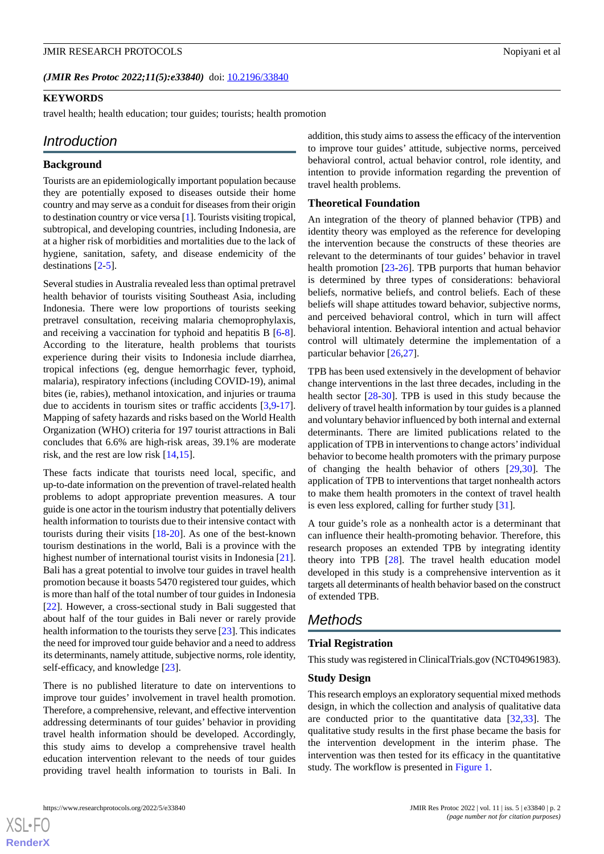#### **KEYWORDS**

travel health; health education; tour guides; tourists; health promotion

# *Introduction*

#### **Background**

Tourists are an epidemiologically important population because they are potentially exposed to diseases outside their home country and may serve as a conduit for diseases from their origin to destination country or vice versa [[1\]](#page-8-0). Tourists visiting tropical, subtropical, and developing countries, including Indonesia, are at a higher risk of morbidities and mortalities due to the lack of hygiene, sanitation, safety, and disease endemicity of the destinations [\[2](#page-8-1)[-5\]](#page-8-2).

Several studies in Australia revealed less than optimal pretravel health behavior of tourists visiting Southeast Asia, including Indonesia. There were low proportions of tourists seeking pretravel consultation, receiving malaria chemoprophylaxis, and receiving a vaccination for typhoid and hepatitis B [\[6-](#page-8-3)[8\]](#page-8-4). According to the literature, health problems that tourists experience during their visits to Indonesia include diarrhea, tropical infections (eg, dengue hemorrhagic fever, typhoid, malaria), respiratory infections (including COVID-19), animal bites (ie, rabies), methanol intoxication, and injuries or trauma due to accidents in tourism sites or traffic accidents [[3,](#page-8-5)[9](#page-8-6)-[17\]](#page-8-7). Mapping of safety hazards and risks based on the World Health Organization (WHO) criteria for 197 tourist attractions in Bali concludes that 6.6% are high-risk areas, 39.1% are moderate risk, and the rest are low risk [[14](#page-8-8)[,15](#page-8-9)].

These facts indicate that tourists need local, specific, and up-to-date information on the prevention of travel-related health problems to adopt appropriate prevention measures. A tour guide is one actor in the tourism industry that potentially delivers health information to tourists due to their intensive contact with tourists during their visits [[18-](#page-8-10)[20](#page-8-11)]. As one of the best-known tourism destinations in the world, Bali is a province with the highest number of international tourist visits in Indonesia [[21\]](#page-8-12). Bali has a great potential to involve tour guides in travel health promotion because it boasts 5470 registered tour guides, which is more than half of the total number of tour guides in Indonesia [[22\]](#page-8-13). However, a cross-sectional study in Bali suggested that about half of the tour guides in Bali never or rarely provide health information to the tourists they serve [[23\]](#page-9-0). This indicates the need for improved tour guide behavior and a need to address its determinants, namely attitude, subjective norms, role identity, self-efficacy, and knowledge [[23\]](#page-9-0).

There is no published literature to date on interventions to improve tour guides' involvement in travel health promotion. Therefore, a comprehensive, relevant, and effective intervention addressing determinants of tour guides' behavior in providing travel health information should be developed. Accordingly, this study aims to develop a comprehensive travel health education intervention relevant to the needs of tour guides providing travel health information to tourists in Bali. In

addition, this study aims to assess the efficacy of the intervention to improve tour guides' attitude, subjective norms, perceived behavioral control, actual behavior control, role identity, and intention to provide information regarding the prevention of travel health problems.

#### **Theoretical Foundation**

An integration of the theory of planned behavior (TPB) and identity theory was employed as the reference for developing the intervention because the constructs of these theories are relevant to the determinants of tour guides' behavior in travel health promotion [\[23](#page-9-0)-[26\]](#page-9-1). TPB purports that human behavior is determined by three types of considerations: behavioral beliefs, normative beliefs, and control beliefs. Each of these beliefs will shape attitudes toward behavior, subjective norms, and perceived behavioral control, which in turn will affect behavioral intention. Behavioral intention and actual behavior control will ultimately determine the implementation of a particular behavior [\[26](#page-9-1),[27\]](#page-9-2).

TPB has been used extensively in the development of behavior change interventions in the last three decades, including in the health sector [[28-](#page-9-3)[30](#page-9-4)]. TPB is used in this study because the delivery of travel health information by tour guides is a planned and voluntary behavior influenced by both internal and external determinants. There are limited publications related to the application of TPB in interventions to change actors'individual behavior to become health promoters with the primary purpose of changing the health behavior of others [\[29](#page-9-5),[30\]](#page-9-4). The application of TPB to interventions that target nonhealth actors to make them health promoters in the context of travel health is even less explored, calling for further study [\[31](#page-9-6)].

A tour guide's role as a nonhealth actor is a determinant that can influence their health-promoting behavior. Therefore, this research proposes an extended TPB by integrating identity theory into TPB [[28\]](#page-9-3). The travel health education model developed in this study is a comprehensive intervention as it targets all determinants of health behavior based on the construct of extended TPB.

# *Methods*

# **Trial Registration**

This study was registered in ClinicalTrials.gov (NCT04961983).

#### **Study Design**

This research employs an exploratory sequential mixed methods design, in which the collection and analysis of qualitative data are conducted prior to the quantitative data [\[32](#page-9-7),[33\]](#page-9-8). The qualitative study results in the first phase became the basis for the intervention development in the interim phase. The intervention was then tested for its efficacy in the quantitative study. The workflow is presented in [Figure 1.](#page-2-0)

 $XSI - F($ **[RenderX](http://www.renderx.com/)**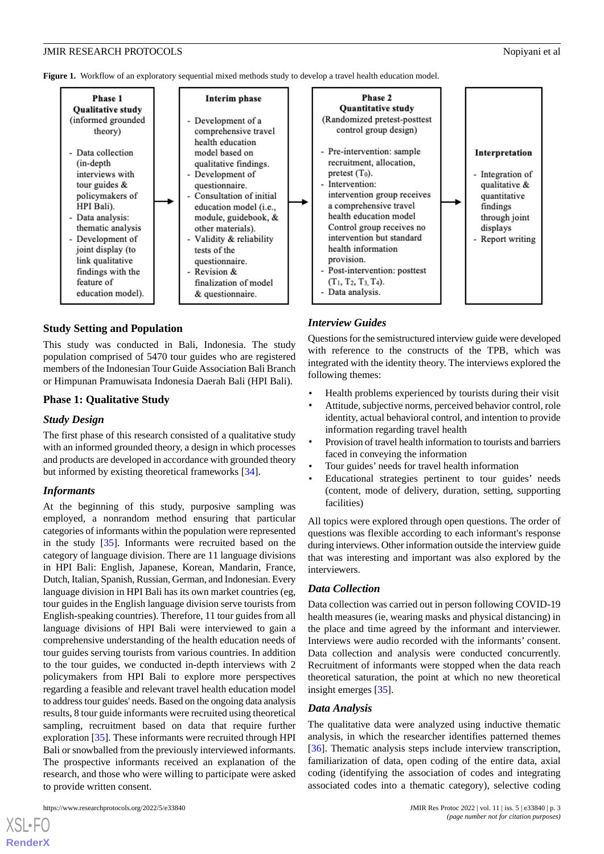<span id="page-2-0"></span>Figure 1. Workflow of an exploratory sequential mixed methods study to develop a travel health education model.



#### **Study Setting and Population**

This study was conducted in Bali, Indonesia. The study population comprised of 5470 tour guides who are registered members of the Indonesian Tour Guide Association Bali Branch or Himpunan Pramuwisata Indonesia Daerah Bali (HPI Bali).

#### **Phase 1: Qualitative Study**

#### *Study Design*

The first phase of this research consisted of a qualitative study with an informed grounded theory, a design in which processes and products are developed in accordance with grounded theory but informed by existing theoretical frameworks [\[34](#page-9-9)].

#### *Informants*

At the beginning of this study, purposive sampling was employed, a nonrandom method ensuring that particular categories of informants within the population were represented in the study [\[35](#page-9-10)]. Informants were recruited based on the category of language division. There are 11 language divisions in HPI Bali: English, Japanese, Korean, Mandarin, France, Dutch, Italian, Spanish, Russian, German, and Indonesian. Every language division in HPI Bali has its own market countries (eg, tour guides in the English language division serve tourists from English-speaking countries). Therefore, 11 tour guides from all language divisions of HPI Bali were interviewed to gain a comprehensive understanding of the health education needs of tour guides serving tourists from various countries. In addition to the tour guides, we conducted in-depth interviews with 2 policymakers from HPI Bali to explore more perspectives regarding a feasible and relevant travel health education model to address tour guides' needs. Based on the ongoing data analysis results, 8 tour guide informants were recruited using theoretical sampling, recruitment based on data that require further exploration [\[35](#page-9-10)]. These informants were recruited through HPI Bali or snowballed from the previously interviewed informants. The prospective informants received an explanation of the research, and those who were willing to participate were asked to provide written consent.

#### *Interview Guides*

Questions for the semistructured interview guide were developed with reference to the constructs of the TPB, which was integrated with the identity theory. The interviews explored the following themes:

- Health problems experienced by tourists during their visit
- Attitude, subjective norms, perceived behavior control, role identity, actual behavioral control, and intention to provide information regarding travel health
- Provision of travel health information to tourists and barriers faced in conveying the information
- Tour guides' needs for travel health information
- Educational strategies pertinent to tour guides' needs (content, mode of delivery, duration, setting, supporting facilities)

All topics were explored through open questions. The order of questions was flexible according to each informant's response during interviews. Other information outside the interview guide that was interesting and important was also explored by the interviewers.

#### *Data Collection*

Data collection was carried out in person following COVID-19 health measures (ie, wearing masks and physical distancing) in the place and time agreed by the informant and interviewer. Interviews were audio recorded with the informants' consent. Data collection and analysis were conducted concurrently. Recruitment of informants were stopped when the data reach theoretical saturation, the point at which no new theoretical insight emerges [\[35](#page-9-10)].

#### *Data Analysis*

The qualitative data were analyzed using inductive thematic analysis, in which the researcher identifies patterned themes [[36\]](#page-9-11). Thematic analysis steps include interview transcription, familiarization of data, open coding of the entire data, axial coding (identifying the association of codes and integrating associated codes into a thematic category), selective coding

https://www.researchprotocols.org/2022/5/e33840 JMIR Res Protoc 2022 | vol. 11 | iss. 5 | e33840 | p. 3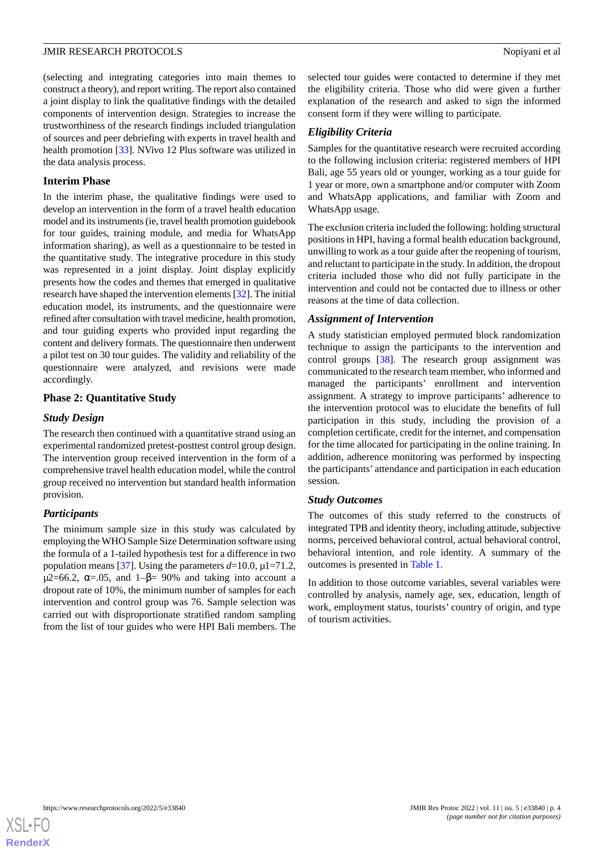(selecting and integrating categories into main themes to construct a theory), and report writing. The report also contained a joint display to link the qualitative findings with the detailed components of intervention design. Strategies to increase the trustworthiness of the research findings included triangulation of sources and peer debriefing with experts in travel health and health promotion [\[33](#page-9-8)]*.* NVivo 12 Plus software was utilized in the data analysis process.

#### **Interim Phase**

In the interim phase, the qualitative findings were used to develop an intervention in the form of a travel health education model and its instruments (ie, travel health promotion guidebook for tour guides, training module, and media for WhatsApp information sharing), as well as a questionnaire to be tested in the quantitative study. The integrative procedure in this study was represented in a joint display. Joint display explicitly presents how the codes and themes that emerged in qualitative research have shaped the intervention elements [\[32](#page-9-7)]. The initial education model, its instruments, and the questionnaire were refined after consultation with travel medicine, health promotion, and tour guiding experts who provided input regarding the content and delivery formats. The questionnaire then underwent a pilot test on 30 tour guides. The validity and reliability of the questionnaire were analyzed, and revisions were made accordingly.

# **Phase 2: Quantitative Study**

# *Study Design*

The research then continued with a quantitative strand using an experimental randomized pretest-posttest control group design. The intervention group received intervention in the form of a comprehensive travel health education model, while the control group received no intervention but standard health information provision.

# *Participants*

The minimum sample size in this study was calculated by employing the WHO Sample Size Determination software using the formula of a 1-tailed hypothesis test for a difference in two population means [[37\]](#page-9-12). Using the parameters  $d=10.0$ ,  $\mu$ 1=71.2,  $\mu$ 2=66.2,  $\alpha$ =.05, and 1– $\beta$ = 90% and taking into account a dropout rate of 10%, the minimum number of samples for each intervention and control group was 76. Sample selection was carried out with disproportionate stratified random sampling from the list of tour guides who were HPI Bali members. The

selected tour guides were contacted to determine if they met the eligibility criteria. Those who did were given a further explanation of the research and asked to sign the informed consent form if they were willing to participate.

# *Eligibility Criteria*

Samples for the quantitative research were recruited according to the following inclusion criteria: registered members of HPI Bali, age 55 years old or younger, working as a tour guide for 1 year or more, own a smartphone and/or computer with Zoom and WhatsApp applications, and familiar with Zoom and WhatsApp usage.

The exclusion criteria included the following: holding structural positions in HPI, having a formal health education background, unwilling to work as a tour guide after the reopening of tourism, and reluctant to participate in the study. In addition, the dropout criteria included those who did not fully participate in the intervention and could not be contacted due to illness or other reasons at the time of data collection.

## *Assignment of Intervention*

A study statistician employed permuted block randomization technique to assign the participants to the intervention and control groups [\[38](#page-9-13)]. The research group assignment was communicated to the research team member, who informed and managed the participants' enrollment and intervention assignment. A strategy to improve participants' adherence to the intervention protocol was to elucidate the benefits of full participation in this study, including the provision of a completion certificate, credit for the internet, and compensation for the time allocated for participating in the online training. In addition, adherence monitoring was performed by inspecting the participants' attendance and participation in each education session.

#### *Study Outcomes*

The outcomes of this study referred to the constructs of integrated TPB and identity theory, including attitude, subjective norms, perceived behavioral control, actual behavioral control, behavioral intention, and role identity. A summary of the outcomes is presented in [Table 1](#page-4-0).

In addition to those outcome variables, several variables were controlled by analysis, namely age, sex, education, length of work, employment status, tourists' country of origin, and type of tourism activities.

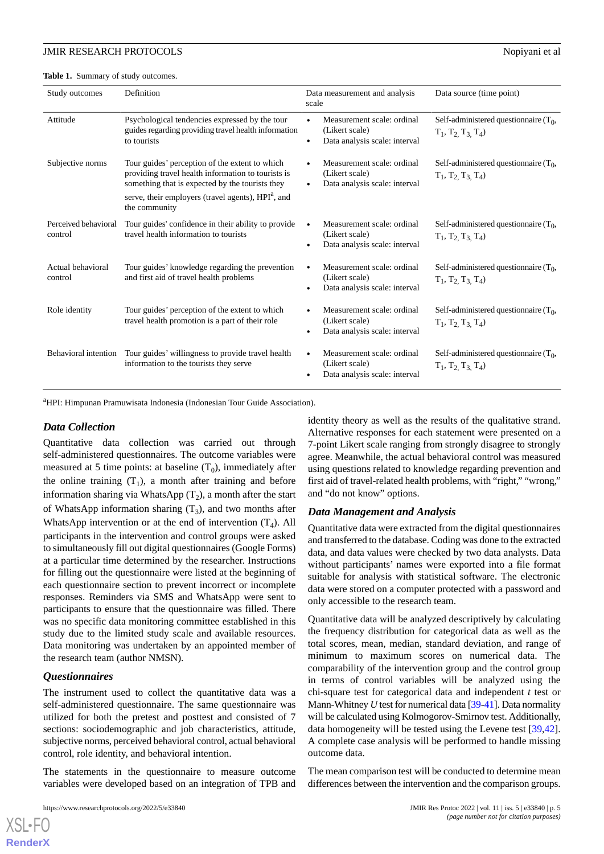<span id="page-4-0"></span>Table 1. Summary of study outcomes.

| Study outcomes                  | Definition                                                                                                                                                                                                                                 | Data measurement and analysis<br>scale                                        | Data source (time point)                                          |
|---------------------------------|--------------------------------------------------------------------------------------------------------------------------------------------------------------------------------------------------------------------------------------------|-------------------------------------------------------------------------------|-------------------------------------------------------------------|
| Attitude                        | Psychological tendencies expressed by the tour<br>guides regarding providing travel health information<br>to tourists                                                                                                                      | Measurement scale: ordinal<br>(Likert scale)<br>Data analysis scale: interval | Self-administered questionnaire $(T_0,$<br>$T_1, T_2, T_3, T_4$   |
| Subjective norms                | Tour guides' perception of the extent to which<br>providing travel health information to tourists is<br>something that is expected by the tourists they<br>serve, their employers (travel agents), HPI <sup>a</sup> , and<br>the community | Measurement scale: ordinal<br>(Likert scale)<br>Data analysis scale: interval | Self-administered questionnaire $(T_0,$<br>$T_1, T_2, T_3, T_4$   |
| Perceived behavioral<br>control | Tour guides' confidence in their ability to provide.<br>travel health information to tourists                                                                                                                                              | Measurement scale: ordinal<br>(Likert scale)<br>Data analysis scale: interval | Self-administered questionnaire $(T_0,$<br>$T_1, T_2, T_3, T_4$   |
| Actual behavioral<br>control    | Tour guides' knowledge regarding the prevention<br>and first aid of travel health problems                                                                                                                                                 | Measurement scale: ordinal<br>(Likert scale)<br>Data analysis scale: interval | Self-administered questionnaire $(T_0)$ ,<br>$T_1, T_2, T_3, T_4$ |
| Role identity                   | Tour guides' perception of the extent to which<br>travel health promotion is a part of their role                                                                                                                                          | Measurement scale: ordinal<br>(Likert scale)<br>Data analysis scale: interval | Self-administered questionnaire $(T_0,$<br>$T_1, T_2, T_3, T_4$   |
| Behavioral intention            | Tour guides' willingness to provide travel health<br>information to the tourists they serve                                                                                                                                                | Measurement scale: ordinal<br>(Likert scale)<br>Data analysis scale: interval | Self-administered questionnaire $(T_0)$ ,<br>$T_1, T_2, T_3, T_4$ |

<sup>a</sup>HPI: Himpunan Pramuwisata Indonesia (Indonesian Tour Guide Association).

#### *Data Collection*

Quantitative data collection was carried out through self-administered questionnaires. The outcome variables were measured at 5 time points: at baseline  $(T_0)$ , immediately after the online training  $(T_1)$ , a month after training and before information sharing via WhatsApp  $(T_2)$ , a month after the start of WhatsApp information sharing  $(T_3)$ , and two months after WhatsApp intervention or at the end of intervention  $(T_4)$ . All participants in the intervention and control groups were asked to simultaneously fill out digital questionnaires (Google Forms) at a particular time determined by the researcher. Instructions for filling out the questionnaire were listed at the beginning of each questionnaire section to prevent incorrect or incomplete responses. Reminders via SMS and WhatsApp were sent to participants to ensure that the questionnaire was filled. There was no specific data monitoring committee established in this study due to the limited study scale and available resources. Data monitoring was undertaken by an appointed member of the research team (author NMSN).

# *Questionnaires*

[XSL](http://www.w3.org/Style/XSL)•FO **[RenderX](http://www.renderx.com/)**

The instrument used to collect the quantitative data was a self-administered questionnaire. The same questionnaire was utilized for both the pretest and posttest and consisted of 7 sections: sociodemographic and job characteristics, attitude, subjective norms, perceived behavioral control, actual behavioral control, role identity, and behavioral intention.

The statements in the questionnaire to measure outcome variables were developed based on an integration of TPB and

identity theory as well as the results of the qualitative strand. Alternative responses for each statement were presented on a 7-point Likert scale ranging from strongly disagree to strongly agree. Meanwhile, the actual behavioral control was measured using questions related to knowledge regarding prevention and first aid of travel-related health problems, with "right," "wrong," and "do not know" options.

#### *Data Management and Analysis*

Quantitative data were extracted from the digital questionnaires and transferred to the database. Coding was done to the extracted data, and data values were checked by two data analysts. Data without participants' names were exported into a file format suitable for analysis with statistical software. The electronic data were stored on a computer protected with a password and only accessible to the research team.

Quantitative data will be analyzed descriptively by calculating the frequency distribution for categorical data as well as the total scores, mean, median, standard deviation, and range of minimum to maximum scores on numerical data. The comparability of the intervention group and the control group in terms of control variables will be analyzed using the chi-square test for categorical data and independent *t* test or Mann-Whitney *U* test for numerical data [\[39](#page-9-14)[-41](#page-9-15)]. Data normality will be calculated using Kolmogorov-Smirnov test. Additionally, data homogeneity will be tested using the Levene test [\[39](#page-9-14),[42\]](#page-9-16). A complete case analysis will be performed to handle missing outcome data.

The mean comparison test will be conducted to determine mean differences between the intervention and the comparison groups.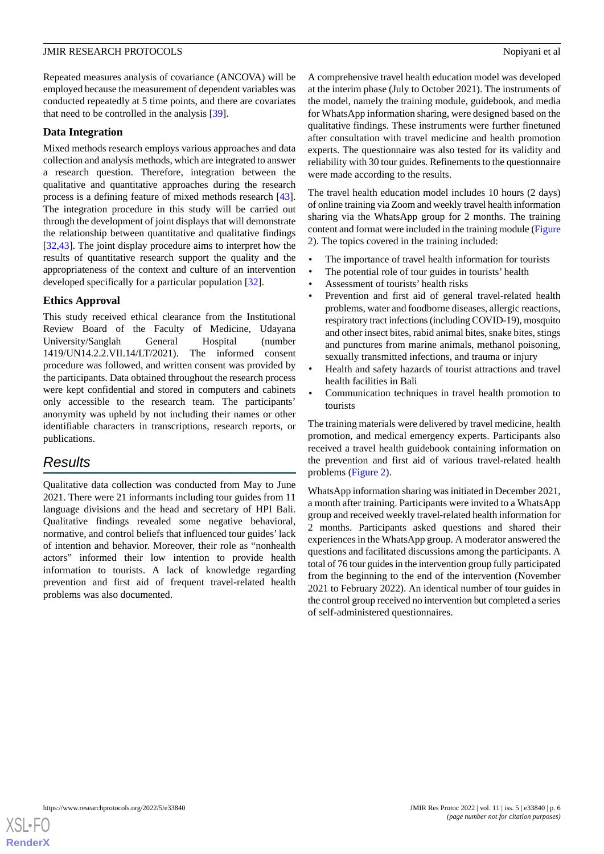Repeated measures analysis of covariance (ANCOVA) will be employed because the measurement of dependent variables was conducted repeatedly at 5 time points, and there are covariates that need to be controlled in the analysis [[39\]](#page-9-14).

# **Data Integration**

Mixed methods research employs various approaches and data collection and analysis methods, which are integrated to answer a research question. Therefore, integration between the qualitative and quantitative approaches during the research process is a defining feature of mixed methods research [[43\]](#page-9-17). The integration procedure in this study will be carried out through the development of joint displays that will demonstrate the relationship between quantitative and qualitative findings [[32](#page-9-7)[,43](#page-9-17)]. The joint display procedure aims to interpret how the results of quantitative research support the quality and the appropriateness of the context and culture of an intervention developed specifically for a particular population [[32\]](#page-9-7).

# **Ethics Approval**

This study received ethical clearance from the Institutional Review Board of the Faculty of Medicine, Udayana University/Sanglah General Hospital (number 1419/UN14.2.2.VII.14/LT/2021). The informed consent procedure was followed, and written consent was provided by the participants. Data obtained throughout the research process were kept confidential and stored in computers and cabinets only accessible to the research team. The participants' anonymity was upheld by not including their names or other identifiable characters in transcriptions, research reports, or publications.

# *Results*

Qualitative data collection was conducted from May to June 2021. There were 21 informants including tour guides from 11 language divisions and the head and secretary of HPI Bali. Qualitative findings revealed some negative behavioral, normative, and control beliefs that influenced tour guides'lack of intention and behavior. Moreover, their role as "nonhealth actors" informed their low intention to provide health information to tourists. A lack of knowledge regarding prevention and first aid of frequent travel-related health problems was also documented.

A comprehensive travel health education model was developed at the interim phase (July to October 2021). The instruments of the model, namely the training module, guidebook, and media for WhatsApp information sharing, were designed based on the qualitative findings. These instruments were further finetuned after consultation with travel medicine and health promotion experts. The questionnaire was also tested for its validity and reliability with 30 tour guides. Refinements to the questionnaire were made according to the results.

The travel health education model includes 10 hours (2 days) of online training via Zoom and weekly travel health information sharing via the WhatsApp group for 2 months. The training content and format were included in the training module [\(Figure](#page-6-0) [2\)](#page-6-0). The topics covered in the training included:

- The importance of travel health information for tourists
- The potential role of tour guides in tourists' health
- Assessment of tourists' health risks
- Prevention and first aid of general travel-related health problems, water and foodborne diseases, allergic reactions, respiratory tract infections (including COVID-19), mosquito and other insect bites, rabid animal bites, snake bites, stings and punctures from marine animals, methanol poisoning, sexually transmitted infections, and trauma or injury
- Health and safety hazards of tourist attractions and travel health facilities in Bali
- Communication techniques in travel health promotion to tourists

The training materials were delivered by travel medicine, health promotion, and medical emergency experts. Participants also received a travel health guidebook containing information on the prevention and first aid of various travel-related health problems ([Figure 2](#page-6-0)).

WhatsApp information sharing was initiated in December 2021, a month after training. Participants were invited to a WhatsApp group and received weekly travel-related health information for 2 months. Participants asked questions and shared their experiences in the WhatsApp group. A moderator answered the questions and facilitated discussions among the participants. A total of 76 tour guides in the intervention group fully participated from the beginning to the end of the intervention (November 2021 to February 2022). An identical number of tour guides in the control group received no intervention but completed a series of self-administered questionnaires.

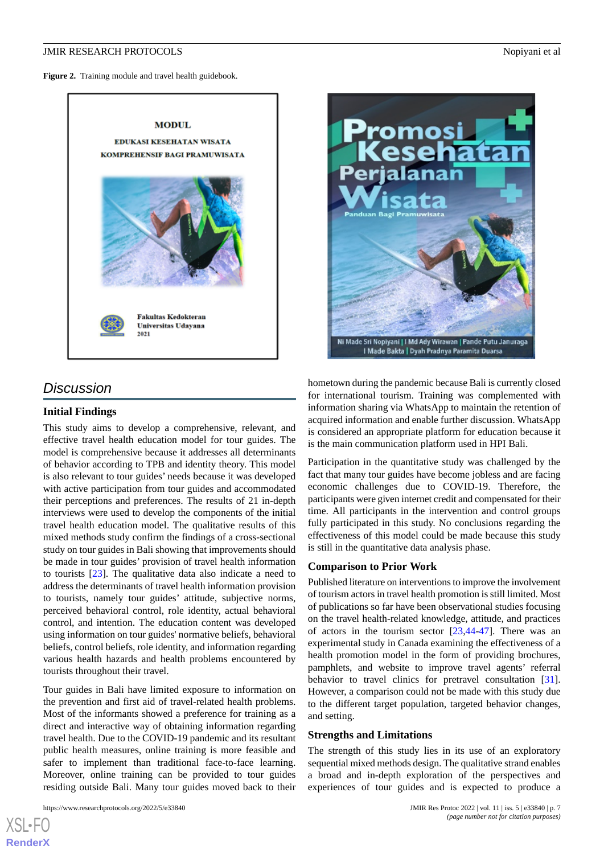<span id="page-6-0"></span>

# *Discussion*

## **Initial Findings**

This study aims to develop a comprehensive, relevant, and effective travel health education model for tour guides. The model is comprehensive because it addresses all determinants of behavior according to TPB and identity theory. This model is also relevant to tour guides' needs because it was developed with active participation from tour guides and accommodated their perceptions and preferences. The results of 21 in-depth interviews were used to develop the components of the initial travel health education model. The qualitative results of this mixed methods study confirm the findings of a cross-sectional study on tour guides in Bali showing that improvements should be made in tour guides' provision of travel health information to tourists [\[23](#page-9-0)]. The qualitative data also indicate a need to address the determinants of travel health information provision to tourists, namely tour guides' attitude, subjective norms, perceived behavioral control, role identity, actual behavioral control, and intention. The education content was developed using information on tour guides' normative beliefs, behavioral beliefs, control beliefs, role identity, and information regarding various health hazards and health problems encountered by tourists throughout their travel.

Tour guides in Bali have limited exposure to information on the prevention and first aid of travel-related health problems. Most of the informants showed a preference for training as a direct and interactive way of obtaining information regarding travel health. Due to the COVID-19 pandemic and its resultant public health measures, online training is more feasible and safer to implement than traditional face-to-face learning. Moreover, online training can be provided to tour guides residing outside Bali. Many tour guides moved back to their



hometown during the pandemic because Bali is currently closed for international tourism. Training was complemented with information sharing via WhatsApp to maintain the retention of acquired information and enable further discussion. WhatsApp is considered an appropriate platform for education because it is the main communication platform used in HPI Bali.

Participation in the quantitative study was challenged by the fact that many tour guides have become jobless and are facing economic challenges due to COVID-19. Therefore, the participants were given internet credit and compensated for their time. All participants in the intervention and control groups fully participated in this study. No conclusions regarding the effectiveness of this model could be made because this study is still in the quantitative data analysis phase.

#### **Comparison to Prior Work**

Published literature on interventions to improve the involvement of tourism actors in travel health promotion is still limited. Most of publications so far have been observational studies focusing on the travel health-related knowledge, attitude, and practices of actors in the tourism sector  $[23,44-47]$  $[23,44-47]$  $[23,44-47]$  $[23,44-47]$  $[23,44-47]$ . There was an experimental study in Canada examining the effectiveness of a health promotion model in the form of providing brochures, pamphlets, and website to improve travel agents' referral behavior to travel clinics for pretravel consultation [[31\]](#page-9-6). However, a comparison could not be made with this study due to the different target population, targeted behavior changes, and setting.

# **Strengths and Limitations**

The strength of this study lies in its use of an exploratory sequential mixed methods design. The qualitative strand enables a broad and in-depth exploration of the perspectives and experiences of tour guides and is expected to produce a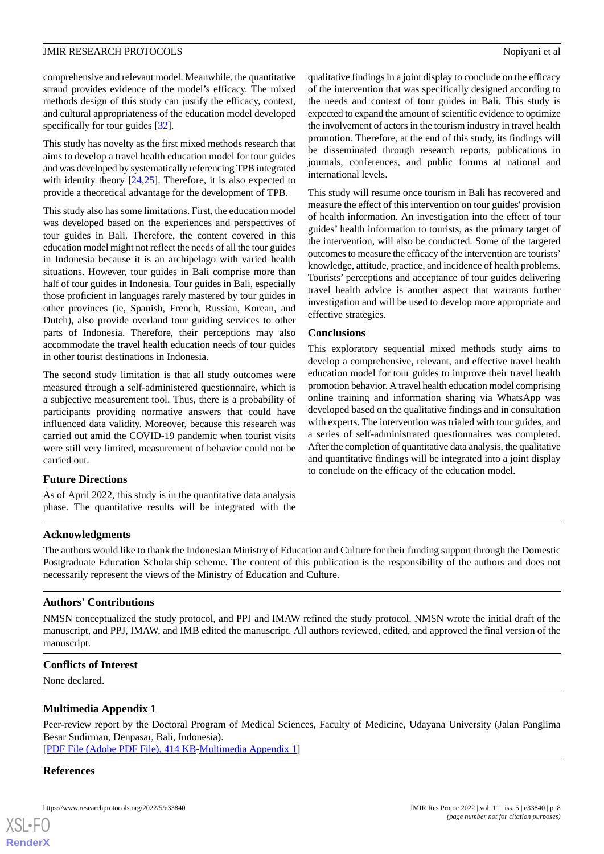comprehensive and relevant model. Meanwhile, the quantitative strand provides evidence of the model's efficacy. The mixed methods design of this study can justify the efficacy, context, and cultural appropriateness of the education model developed specifically for tour guides [[32\]](#page-9-7).

This study has novelty as the first mixed methods research that aims to develop a travel health education model for tour guides and was developed by systematically referencing TPB integrated with identity theory [[24](#page-9-20)[,25](#page-9-21)]. Therefore, it is also expected to provide a theoretical advantage for the development of TPB.

This study also has some limitations. First, the education model was developed based on the experiences and perspectives of tour guides in Bali. Therefore, the content covered in this education model might not reflect the needs of all the tour guides in Indonesia because it is an archipelago with varied health situations. However, tour guides in Bali comprise more than half of tour guides in Indonesia. Tour guides in Bali, especially those proficient in languages rarely mastered by tour guides in other provinces (ie, Spanish, French, Russian, Korean, and Dutch), also provide overland tour guiding services to other parts of Indonesia. Therefore, their perceptions may also accommodate the travel health education needs of tour guides in other tourist destinations in Indonesia.

The second study limitation is that all study outcomes were measured through a self-administered questionnaire, which is a subjective measurement tool. Thus, there is a probability of participants providing normative answers that could have influenced data validity. Moreover, because this research was carried out amid the COVID-19 pandemic when tourist visits were still very limited, measurement of behavior could not be carried out.

#### **Future Directions**

As of April 2022, this study is in the quantitative data analysis phase. The quantitative results will be integrated with the

qualitative findings in a joint display to conclude on the efficacy of the intervention that was specifically designed according to the needs and context of tour guides in Bali. This study is expected to expand the amount of scientific evidence to optimize the involvement of actors in the tourism industry in travel health promotion. Therefore, at the end of this study, its findings will be disseminated through research reports, publications in journals, conferences, and public forums at national and international levels.

This study will resume once tourism in Bali has recovered and measure the effect of this intervention on tour guides' provision of health information. An investigation into the effect of tour guides' health information to tourists, as the primary target of the intervention, will also be conducted. Some of the targeted outcomes to measure the efficacy of the intervention are tourists' knowledge, attitude, practice, and incidence of health problems. Tourists' perceptions and acceptance of tour guides delivering travel health advice is another aspect that warrants further investigation and will be used to develop more appropriate and effective strategies.

#### **Conclusions**

This exploratory sequential mixed methods study aims to develop a comprehensive, relevant, and effective travel health education model for tour guides to improve their travel health promotion behavior. A travel health education model comprising online training and information sharing via WhatsApp was developed based on the qualitative findings and in consultation with experts. The intervention was trialed with tour guides, and a series of self-administrated questionnaires was completed. After the completion of quantitative data analysis, the qualitative and quantitative findings will be integrated into a joint display to conclude on the efficacy of the education model.

#### **Acknowledgments**

The authors would like to thank the Indonesian Ministry of Education and Culture for their funding support through the Domestic Postgraduate Education Scholarship scheme. The content of this publication is the responsibility of the authors and does not necessarily represent the views of the Ministry of Education and Culture.

# **Authors' Contributions**

NMSN conceptualized the study protocol, and PPJ and IMAW refined the study protocol. NMSN wrote the initial draft of the manuscript, and PPJ, IMAW, and IMB edited the manuscript. All authors reviewed, edited, and approved the final version of the manuscript.

#### **Conflicts of Interest**

None declared.

#### **Multimedia Appendix 1**

Peer-review report by the Doctoral Program of Medical Sciences, Faculty of Medicine, Udayana University (Jalan Panglima Besar Sudirman, Denpasar, Bali, Indonesia). [[PDF File \(Adobe PDF File\), 414 KB](https://jmir.org/api/download?alt_name=resprot_v11i5e33840_app1.pdf&filename=b4b240d1807e5a692cac7cde855ec6ce.pdf)-[Multimedia Appendix 1\]](https://jmir.org/api/download?alt_name=resprot_v11i5e33840_app1.pdf&filename=b4b240d1807e5a692cac7cde855ec6ce.pdf)

#### **References**

| XSL-F          |  |
|----------------|--|
| <b>RenderX</b> |  |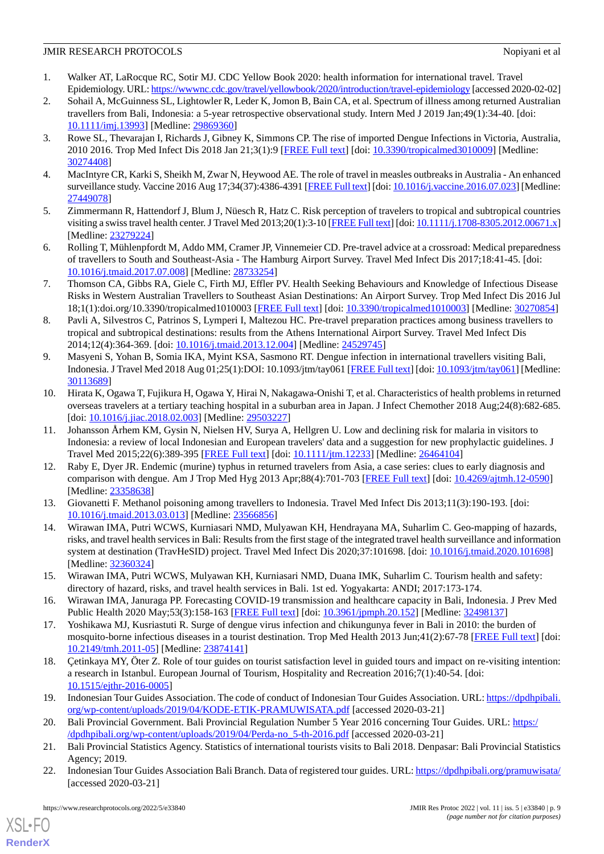- <span id="page-8-0"></span>1. Walker AT, LaRocque RC, Sotir MJ. CDC Yellow Book 2020: health information for international travel. Travel Epidemiology. URL:<https://wwwnc.cdc.gov/travel/yellowbook/2020/introduction/travel-epidemiology> [accessed 2020-02-02]
- <span id="page-8-1"></span>2. Sohail A, McGuinness SL, Lightowler R, Leder K, Jomon B, Bain CA, et al. Spectrum of illness among returned Australian travellers from Bali, Indonesia: a 5-year retrospective observational study. Intern Med J 2019 Jan;49(1):34-40. [doi: [10.1111/imj.13993\]](http://dx.doi.org/10.1111/imj.13993) [Medline: [29869360](http://www.ncbi.nlm.nih.gov/entrez/query.fcgi?cmd=Retrieve&db=PubMed&list_uids=29869360&dopt=Abstract)]
- <span id="page-8-5"></span>3. Rowe SL, Thevarajan I, Richards J, Gibney K, Simmons CP. The rise of imported Dengue Infections in Victoria, Australia, 2010 2016. Trop Med Infect Dis 2018 Jan 21;3(1):9 [\[FREE Full text](https://www.mdpi.com/resolver?pii=tropicalmed3010009)] [doi: [10.3390/tropicalmed3010009\]](http://dx.doi.org/10.3390/tropicalmed3010009) [Medline: [30274408](http://www.ncbi.nlm.nih.gov/entrez/query.fcgi?cmd=Retrieve&db=PubMed&list_uids=30274408&dopt=Abstract)]
- <span id="page-8-2"></span>4. MacIntyre CR, Karki S, Sheikh M, Zwar N, Heywood AE. The role of travel in measles outbreaks in Australia - An enhanced surveillance study. Vaccine 2016 Aug 17;34(37):4386-4391 [[FREE Full text\]](https://linkinghub.elsevier.com/retrieve/pii/S0264-410X(16)30606-5) [doi: [10.1016/j.vaccine.2016.07.023\]](http://dx.doi.org/10.1016/j.vaccine.2016.07.023) [Medline: [27449078](http://www.ncbi.nlm.nih.gov/entrez/query.fcgi?cmd=Retrieve&db=PubMed&list_uids=27449078&dopt=Abstract)]
- <span id="page-8-3"></span>5. Zimmermann R, Hattendorf J, Blum J, Nüesch R, Hatz C. Risk perception of travelers to tropical and subtropical countries visiting a swiss travel health center. J Travel Med 2013;20(1):3-10 [[FREE Full text](https://onlinelibrary.wiley.com/resolve/openurl?genre=article&sid=nlm:pubmed&issn=1195-1982&date=2013&volume=20&issue=1&spage=3)] [doi: [10.1111/j.1708-8305.2012.00671.x\]](http://dx.doi.org/10.1111/j.1708-8305.2012.00671.x) [Medline: [23279224](http://www.ncbi.nlm.nih.gov/entrez/query.fcgi?cmd=Retrieve&db=PubMed&list_uids=23279224&dopt=Abstract)]
- 6. Rolling T, Mühlenpfordt M, Addo MM, Cramer JP, Vinnemeier CD. Pre-travel advice at a crossroad: Medical preparedness of travellers to South and Southeast-Asia - The Hamburg Airport Survey. Travel Med Infect Dis 2017;18:41-45. [doi: [10.1016/j.tmaid.2017.07.008](http://dx.doi.org/10.1016/j.tmaid.2017.07.008)] [Medline: [28733254](http://www.ncbi.nlm.nih.gov/entrez/query.fcgi?cmd=Retrieve&db=PubMed&list_uids=28733254&dopt=Abstract)]
- <span id="page-8-4"></span>7. Thomson CA, Gibbs RA, Giele C, Firth MJ, Effler PV. Health Seeking Behaviours and Knowledge of Infectious Disease Risks in Western Australian Travellers to Southeast Asian Destinations: An Airport Survey. Trop Med Infect Dis 2016 Jul 18;1(1):doi.org/10.3390/tropicalmed1010003 [[FREE Full text](https://www.mdpi.com/resolver?pii=tropicalmed1010003)] [doi: [10.3390/tropicalmed1010003\]](http://dx.doi.org/10.3390/tropicalmed1010003) [Medline: [30270854](http://www.ncbi.nlm.nih.gov/entrez/query.fcgi?cmd=Retrieve&db=PubMed&list_uids=30270854&dopt=Abstract)]
- <span id="page-8-6"></span>8. Pavli A, Silvestros C, Patrinos S, Lymperi I, Maltezou HC. Pre-travel preparation practices among business travellers to tropical and subtropical destinations: results from the Athens International Airport Survey. Travel Med Infect Dis 2014;12(4):364-369. [doi: [10.1016/j.tmaid.2013.12.004](http://dx.doi.org/10.1016/j.tmaid.2013.12.004)] [Medline: [24529745](http://www.ncbi.nlm.nih.gov/entrez/query.fcgi?cmd=Retrieve&db=PubMed&list_uids=24529745&dopt=Abstract)]
- 9. Masyeni S, Yohan B, Somia IKA, Myint KSA, Sasmono RT. Dengue infection in international travellers visiting Bali, Indonesia. J Travel Med 2018 Aug 01;25(1):DOI: 10.1093/jtm/tay061 [[FREE Full text\]](http://europepmc.org/abstract/MED/30113689) [doi: [10.1093/jtm/tay061](http://dx.doi.org/10.1093/jtm/tay061)] [Medline: [30113689](http://www.ncbi.nlm.nih.gov/entrez/query.fcgi?cmd=Retrieve&db=PubMed&list_uids=30113689&dopt=Abstract)]
- 10. Hirata K, Ogawa T, Fujikura H, Ogawa Y, Hirai N, Nakagawa-Onishi T, et al. Characteristics of health problems in returned overseas travelers at a tertiary teaching hospital in a suburban area in Japan. J Infect Chemother 2018 Aug;24(8):682-685. [doi: [10.1016/j.jiac.2018.02.003](http://dx.doi.org/10.1016/j.jiac.2018.02.003)] [Medline: [29503227](http://www.ncbi.nlm.nih.gov/entrez/query.fcgi?cmd=Retrieve&db=PubMed&list_uids=29503227&dopt=Abstract)]
- 11. Johansson Århem KM, Gysin N, Nielsen HV, Surya A, Hellgren U. Low and declining risk for malaria in visitors to Indonesia: a review of local Indonesian and European travelers' data and a suggestion for new prophylactic guidelines. J Travel Med 2015;22(6):389-395 [[FREE Full text](https://onlinelibrary.wiley.com/resolve/openurl?genre=article&sid=nlm:pubmed&issn=1195-1982&date=2015&volume=22&issue=6&spage=389)] [doi: [10.1111/jtm.12233](http://dx.doi.org/10.1111/jtm.12233)] [Medline: [26464104](http://www.ncbi.nlm.nih.gov/entrez/query.fcgi?cmd=Retrieve&db=PubMed&list_uids=26464104&dopt=Abstract)]
- <span id="page-8-8"></span>12. Raby E, Dyer JR. Endemic (murine) typhus in returned travelers from Asia, a case series: clues to early diagnosis and comparison with dengue. Am J Trop Med Hyg 2013 Apr;88(4):701-703 [\[FREE Full text\]](http://europepmc.org/abstract/MED/23358638) [doi: [10.4269/ajtmh.12-0590\]](http://dx.doi.org/10.4269/ajtmh.12-0590) [Medline: [23358638](http://www.ncbi.nlm.nih.gov/entrez/query.fcgi?cmd=Retrieve&db=PubMed&list_uids=23358638&dopt=Abstract)]
- 13. Giovanetti F. Methanol poisoning among travellers to Indonesia. Travel Med Infect Dis 2013;11(3):190-193. [doi: [10.1016/j.tmaid.2013.03.013](http://dx.doi.org/10.1016/j.tmaid.2013.03.013)] [Medline: [23566856](http://www.ncbi.nlm.nih.gov/entrez/query.fcgi?cmd=Retrieve&db=PubMed&list_uids=23566856&dopt=Abstract)]
- <span id="page-8-9"></span>14. Wirawan IMA, Putri WCWS, Kurniasari NMD, Mulyawan KH, Hendrayana MA, Suharlim C. Geo-mapping of hazards, risks, and travel health services in Bali: Results from the first stage of the integrated travel health surveillance and information system at destination (TravHeSID) project. Travel Med Infect Dis 2020;37:101698. [doi: [10.1016/j.tmaid.2020.101698](http://dx.doi.org/10.1016/j.tmaid.2020.101698)] [Medline: [32360324](http://www.ncbi.nlm.nih.gov/entrez/query.fcgi?cmd=Retrieve&db=PubMed&list_uids=32360324&dopt=Abstract)]
- <span id="page-8-7"></span>15. Wirawan IMA, Putri WCWS, Mulyawan KH, Kurniasari NMD, Duana IMK, Suharlim C. Tourism health and safety: directory of hazard, risks, and travel health services in Bali. 1st ed. Yogyakarta: ANDI; 2017:173-174.
- <span id="page-8-10"></span>16. Wirawan IMA, Januraga PP. Forecasting COVID-19 transmission and healthcare capacity in Bali, Indonesia. J Prev Med Public Health 2020 May;53(3):158-163 [[FREE Full text](https://dx.doi.org/10.3961/jpmph.20.152)] [doi: [10.3961/jpmph.20.152](http://dx.doi.org/10.3961/jpmph.20.152)] [Medline: [32498137](http://www.ncbi.nlm.nih.gov/entrez/query.fcgi?cmd=Retrieve&db=PubMed&list_uids=32498137&dopt=Abstract)]
- 17. Yoshikawa MJ, Kusriastuti R. Surge of dengue virus infection and chikungunya fever in Bali in 2010: the burden of mosquito-borne infectious diseases in a tourist destination. Trop Med Health 2013 Jun;41(2):67-78 [[FREE Full text](http://europepmc.org/abstract/MED/23874141)] [doi: [10.2149/tmh.2011-05](http://dx.doi.org/10.2149/tmh.2011-05)] [Medline: [23874141\]](http://www.ncbi.nlm.nih.gov/entrez/query.fcgi?cmd=Retrieve&db=PubMed&list_uids=23874141&dopt=Abstract)
- <span id="page-8-12"></span><span id="page-8-11"></span>18. Çetinkaya MY, Öter Z. Role of tour guides on tourist satisfaction level in guided tours and impact on re-visiting intention: a research in Istanbul. European Journal of Tourism, Hospitality and Recreation 2016;7(1):40-54. [doi: [10.1515/ejthr-2016-0005\]](http://dx.doi.org/10.1515/ejthr-2016-0005)
- <span id="page-8-13"></span>19. Indonesian Tour Guides Association. The code of conduct of Indonesian Tour Guides Association. URL: [https://dpdhpibali.](https://dpdhpibali.org/wp-content/uploads/2019/04/KODE-ETIK-PRAMUWISATA.pdf) [org/wp-content/uploads/2019/04/KODE-ETIK-PRAMUWISATA.pdf](https://dpdhpibali.org/wp-content/uploads/2019/04/KODE-ETIK-PRAMUWISATA.pdf) [accessed 2020-03-21]
- 20. Bali Provincial Government. Bali Provincial Regulation Number 5 Year 2016 concerning Tour Guides. URL: [https:/](https://dpdhpibali.org/wp-content/uploads/2019/04/Perda-no_5-th-2016.pdf) [/dpdhpibali.org/wp-content/uploads/2019/04/Perda-no\\_5-th-2016.pdf](https://dpdhpibali.org/wp-content/uploads/2019/04/Perda-no_5-th-2016.pdf) [accessed 2020-03-21]
- 21. Bali Provincial Statistics Agency. Statistics of international tourists visits to Bali 2018. Denpasar: Bali Provincial Statistics Agency; 2019.
- 22. Indonesian Tour Guides Association Bali Branch. Data of registered tour guides. URL:<https://dpdhpibali.org/pramuwisata/> [accessed 2020-03-21]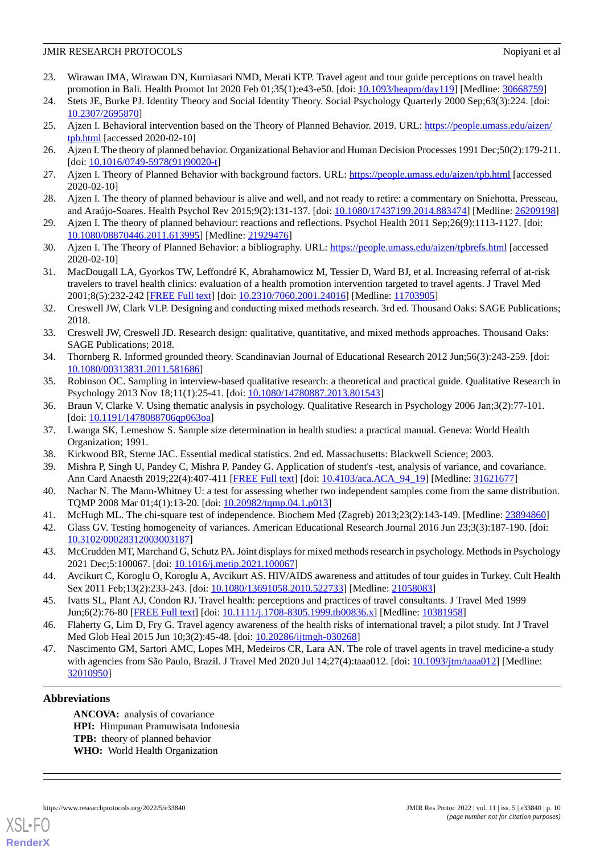- <span id="page-9-0"></span>23. Wirawan IMA, Wirawan DN, Kurniasari NMD, Merati KTP. Travel agent and tour guide perceptions on travel health promotion in Bali. Health Promot Int 2020 Feb 01;35(1):e43-e50. [doi: [10.1093/heapro/day119\]](http://dx.doi.org/10.1093/heapro/day119) [Medline: [30668759\]](http://www.ncbi.nlm.nih.gov/entrez/query.fcgi?cmd=Retrieve&db=PubMed&list_uids=30668759&dopt=Abstract)
- <span id="page-9-21"></span><span id="page-9-20"></span>24. Stets JE, Burke PJ. Identity Theory and Social Identity Theory. Social Psychology Quarterly 2000 Sep;63(3):224. [doi: [10.2307/2695870\]](http://dx.doi.org/10.2307/2695870)
- <span id="page-9-1"></span>25. Ajzen I. Behavioral intervention based on the Theory of Planned Behavior. 2019. URL: [https://people.umass.edu/aizen/](https://people.umass.edu/aizen/tpb.html) [tpb.html](https://people.umass.edu/aizen/tpb.html) [accessed 2020-02-10]
- <span id="page-9-2"></span>26. Ajzen I. The theory of planned behavior. Organizational Behavior and Human Decision Processes 1991 Dec;50(2):179-211. [doi: [10.1016/0749-5978\(91\)90020-t](http://dx.doi.org/10.1016/0749-5978(91)90020-t)]
- <span id="page-9-3"></span>27. Ajzen I. Theory of Planned Behavior with background factors. URL:<https://people.umass.edu/aizen/tpb.html> [accessed] 2020-02-10]
- <span id="page-9-5"></span>28. Ajzen I. The theory of planned behaviour is alive and well, and not ready to retire: a commentary on Sniehotta, Presseau, and Araújo-Soares. Health Psychol Rev 2015;9(2):131-137. [doi: [10.1080/17437199.2014.883474](http://dx.doi.org/10.1080/17437199.2014.883474)] [Medline: [26209198\]](http://www.ncbi.nlm.nih.gov/entrez/query.fcgi?cmd=Retrieve&db=PubMed&list_uids=26209198&dopt=Abstract)
- <span id="page-9-4"></span>29. Ajzen I. The theory of planned behaviour: reactions and reflections. Psychol Health 2011 Sep;26(9):1113-1127. [doi: [10.1080/08870446.2011.613995\]](http://dx.doi.org/10.1080/08870446.2011.613995) [Medline: [21929476\]](http://www.ncbi.nlm.nih.gov/entrez/query.fcgi?cmd=Retrieve&db=PubMed&list_uids=21929476&dopt=Abstract)
- <span id="page-9-6"></span>30. Ajzen I. The Theory of Planned Behavior: a bibliography. URL: <https://people.umass.edu/aizen/tpbrefs.html> [accessed 2020-02-10]
- <span id="page-9-7"></span>31. MacDougall LA, Gyorkos TW, Leffondré K, Abrahamowicz M, Tessier D, Ward BJ, et al. Increasing referral of at-risk travelers to travel health clinics: evaluation of a health promotion intervention targeted to travel agents. J Travel Med 2001;8(5):232-242 [[FREE Full text](https://onlinelibrary.wiley.com/resolve/openurl?genre=article&sid=nlm:pubmed&issn=1195-1982&date=2001&volume=8&issue=5&spage=232)] [doi: [10.2310/7060.2001.24016\]](http://dx.doi.org/10.2310/7060.2001.24016) [Medline: [11703905\]](http://www.ncbi.nlm.nih.gov/entrez/query.fcgi?cmd=Retrieve&db=PubMed&list_uids=11703905&dopt=Abstract)
- <span id="page-9-8"></span>32. Creswell JW, Clark VLP. Designing and conducting mixed methods research. 3rd ed. Thousand Oaks: SAGE Publications; 2018.
- <span id="page-9-10"></span><span id="page-9-9"></span>33. Creswell JW, Creswell JD. Research design: qualitative, quantitative, and mixed methods approaches. Thousand Oaks: SAGE Publications; 2018.
- <span id="page-9-11"></span>34. Thornberg R. Informed grounded theory. Scandinavian Journal of Educational Research 2012 Jun;56(3):243-259. [doi: [10.1080/00313831.2011.581686\]](http://dx.doi.org/10.1080/00313831.2011.581686)
- <span id="page-9-12"></span>35. Robinson OC. Sampling in interview-based qualitative research: a theoretical and practical guide. Qualitative Research in Psychology 2013 Nov 18;11(1):25-41. [doi: [10.1080/14780887.2013.801543\]](http://dx.doi.org/10.1080/14780887.2013.801543)
- <span id="page-9-13"></span>36. Braun V, Clarke V. Using thematic analysis in psychology. Qualitative Research in Psychology 2006 Jan;3(2):77-101. [doi: [10.1191/1478088706qp063oa\]](http://dx.doi.org/10.1191/1478088706qp063oa)
- <span id="page-9-14"></span>37. Lwanga SK, Lemeshow S. Sample size determination in health studies: a practical manual. Geneva: World Health Organization; 1991.
- 38. Kirkwood BR, Sterne JAC. Essential medical statistics. 2nd ed. Massachusetts: Blackwell Science; 2003.
- <span id="page-9-16"></span><span id="page-9-15"></span>39. Mishra P, Singh U, Pandey C, Mishra P, Pandey G. Application of student's -test, analysis of variance, and covariance. Ann Card Anaesth 2019;22(4):407-411 [[FREE Full text](http://europepmc.org/abstract/MED/31621677)] [doi: [10.4103/aca.ACA\\_94\\_19](http://dx.doi.org/10.4103/aca.ACA_94_19)] [Medline: [31621677](http://www.ncbi.nlm.nih.gov/entrez/query.fcgi?cmd=Retrieve&db=PubMed&list_uids=31621677&dopt=Abstract)]
- <span id="page-9-17"></span>40. Nachar N. The Mann-Whitney U: a test for assessing whether two independent samples come from the same distribution. TQMP 2008 Mar 01;4(1):13-20. [doi: [10.20982/tqmp.04.1.p013\]](http://dx.doi.org/10.20982/tqmp.04.1.p013)
- <span id="page-9-18"></span>41. McHugh ML. The chi-square test of independence. Biochem Med (Zagreb) 2013;23(2):143-149. [Medline: [23894860](http://www.ncbi.nlm.nih.gov/entrez/query.fcgi?cmd=Retrieve&db=PubMed&list_uids=23894860&dopt=Abstract)]
- 42. Glass GV. Testing homogeneity of variances. American Educational Research Journal 2016 Jun 23;3(3):187-190. [doi: [10.3102/00028312003003187\]](http://dx.doi.org/10.3102/00028312003003187)
- 43. McCrudden MT, Marchand G, Schutz PA. Joint displays for mixed methods research in psychology. Methods in Psychology 2021 Dec;5:100067. [doi: [10.1016/j.metip.2021.100067](http://dx.doi.org/10.1016/j.metip.2021.100067)]
- <span id="page-9-19"></span>44. Avcikurt C, Koroglu O, Koroglu A, Avcikurt AS. HIV/AIDS awareness and attitudes of tour guides in Turkey. Cult Health Sex 2011 Feb;13(2):233-243. [doi: [10.1080/13691058.2010.522733\]](http://dx.doi.org/10.1080/13691058.2010.522733) [Medline: [21058083](http://www.ncbi.nlm.nih.gov/entrez/query.fcgi?cmd=Retrieve&db=PubMed&list_uids=21058083&dopt=Abstract)]
- 45. Ivatts SL, Plant AJ, Condon RJ. Travel health: perceptions and practices of travel consultants. J Travel Med 1999 Jun;6(2):76-80 [[FREE Full text](https://onlinelibrary.wiley.com/resolve/openurl?genre=article&sid=nlm:pubmed&issn=1195-1982&date=1999&volume=6&issue=2&spage=76)] [doi: [10.1111/j.1708-8305.1999.tb00836.x\]](http://dx.doi.org/10.1111/j.1708-8305.1999.tb00836.x) [Medline: [10381958](http://www.ncbi.nlm.nih.gov/entrez/query.fcgi?cmd=Retrieve&db=PubMed&list_uids=10381958&dopt=Abstract)]
- 46. Flaherty G, Lim D, Fry G. Travel agency awareness of the health risks of international travel; a pilot study. Int J Travel Med Glob Heal 2015 Jun 10;3(2):45-48. [doi: [10.20286/ijtmgh-030268\]](http://dx.doi.org/10.20286/ijtmgh-030268)
- 47. Nascimento GM, Sartori AMC, Lopes MH, Medeiros CR, Lara AN. The role of travel agents in travel medicine-a study with agencies from São Paulo, Brazil. J Travel Med 2020 Jul 14;27(4):taaa012. [doi: [10.1093/jtm/taaa012](http://dx.doi.org/10.1093/jtm/taaa012)] [Medline: [32010950](http://www.ncbi.nlm.nih.gov/entrez/query.fcgi?cmd=Retrieve&db=PubMed&list_uids=32010950&dopt=Abstract)]

# **Abbreviations**

**ANCOVA:** analysis of covariance **HPI:** Himpunan Pramuwisata Indonesia **TPB:** theory of planned behavior **WHO:** World Health Organization